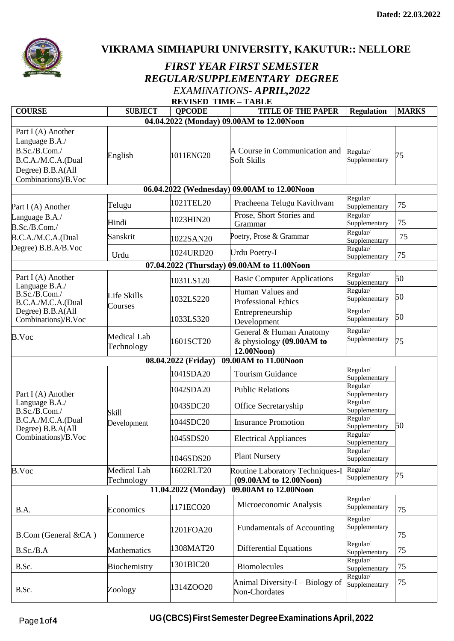

**VIKRAMA SIMHAPURI UNIVERSITY, KAKUTUR:: NELLORE**

## *FIRST YEAR FIRST SEMESTER REGULAR/SUPPLEMENTARY DEGREE EXAMINATIONS- APRIL,2022*  **REVISED TIME – TABLE**

| <b>COURSE</b>                                                                                                           | <b>SUBJECT</b>                   | <b>OPCODE</b>       | <b>TITLE OF THE PAPER</b>                                         | <b>Regulation</b>         | <b>MARKS</b> |  |  |  |
|-------------------------------------------------------------------------------------------------------------------------|----------------------------------|---------------------|-------------------------------------------------------------------|---------------------------|--------------|--|--|--|
| 04.04.2022 (Monday) 09.00AM to 12.00Noon                                                                                |                                  |                     |                                                                   |                           |              |  |  |  |
| Part I (A) Another<br>Language B.A./<br>B.Sc./B.Com./<br>B.C.A./M.C.A.(Dual<br>Degree) B.B.A(All<br>Combinations)/B.Voc | English                          | 1011ENG20           | A Course in Communication and<br>Soft Skills                      | Regular/<br>Supplementary | 75           |  |  |  |
| 06.04.2022 (Wednesday) 09.00AM to 12.00Noon                                                                             |                                  |                     |                                                                   |                           |              |  |  |  |
| Part I (A) Another<br>Language B.A./<br>B.Sc./B.Com./                                                                   | Telugu                           | 1021TEL20           | Pracheena Telugu Kavithvam                                        | Regular/<br>Supplementary | 75           |  |  |  |
|                                                                                                                         | Hindi                            | 1023HIN20           | Prose, Short Stories and<br>Grammar                               | Regular/<br>Supplementary | 75           |  |  |  |
| B.C.A./M.C.A.(Dual                                                                                                      | Sanskrit                         | 1022SAN20           | Poetry, Prose & Grammar                                           | Regular/<br>Supplementary | 75           |  |  |  |
| Degree) B.B.A/B.Voc                                                                                                     | Urdu                             | 1024URD20           | <b>Urdu Poetry-I</b>                                              | Regular/<br>Supplementary | 75           |  |  |  |
|                                                                                                                         |                                  |                     | 07.04.2022 (Thursday) 09.00AM to 11.00Noon                        |                           |              |  |  |  |
| Part I (A) Another<br>Language B.A./<br>B.Sc./B.Com./<br>B.C.A./M.C.A.(Dual<br>Degree) B.B.A(All<br>Combinations)/B.Voc | Life Skills<br>Courses           | 1031LS120           | <b>Basic Computer Applications</b>                                | Regular/<br>Supplementary | 50           |  |  |  |
|                                                                                                                         |                                  | 1032LS220           | Human Values and<br><b>Professional Ethics</b>                    | Regular/<br>Supplementary | 50           |  |  |  |
|                                                                                                                         |                                  | 1033LS320           | Entrepreneurship<br>Development                                   | Regular/<br>Supplementary | 50           |  |  |  |
| B.Voc                                                                                                                   | <b>Medical Lab</b><br>Technology | 1601SCT20           | General & Human Anatomy<br>& physiology (09.00AM to<br>12.00Noon) | Regular/<br>Supplementary | 75           |  |  |  |
|                                                                                                                         |                                  | 08.04.2022 (Friday) | 09.00AM to 11.00Noon                                              |                           |              |  |  |  |
|                                                                                                                         | Skill<br>Development             | 1041SDA20           | <b>Tourism Guidance</b>                                           | Regular/<br>Supplementary | 50           |  |  |  |
| Part I (A) Another                                                                                                      |                                  | 1042SDA20           | <b>Public Relations</b>                                           | Regular/<br>Supplementary |              |  |  |  |
| Language B.A./<br>B.Sc./B.Com./                                                                                         |                                  | 1043SDC20           | Office Secretaryship                                              | Regular/<br>Supplementary |              |  |  |  |
| B.C.A./M.C.A.(Dual<br>Degree) B.B.A(All<br>Combinations)/B.Voc                                                          |                                  | 1044SDC20           | <b>Insurance Promotion</b>                                        | Regular/<br>Supplementary |              |  |  |  |
|                                                                                                                         |                                  | 1045SDS20           | <b>Electrical Appliances</b>                                      | Regular/<br>Supplementary |              |  |  |  |
|                                                                                                                         |                                  | 1046SDS20           | <b>Plant Nursery</b>                                              | Regular/<br>Supplementary |              |  |  |  |
| <b>B.Voc</b>                                                                                                            | <b>Medical Lab</b><br>Technology | 1602RLT20           | Routine Laboratory Techniques-I<br>(09.00AM to 12.00Noon)         | Regular/<br>Supplementary | 75           |  |  |  |
| 11.04.2022 (Monday)<br>09.00AM to 12.00Noon                                                                             |                                  |                     |                                                                   |                           |              |  |  |  |
| B.A.                                                                                                                    | Economics                        | 1171ECO20           | Microeconomic Analysis                                            | Regular/<br>Supplementary | 75           |  |  |  |
| B.Com (General &CA)                                                                                                     | Commerce                         | 1201FOA20           | <b>Fundamentals of Accounting</b>                                 | Regular/<br>Supplementary | 75           |  |  |  |
| B.Sc./B.A                                                                                                               | Mathematics                      | 1308MAT20           | <b>Differential Equations</b>                                     | Regular/<br>Supplementary | 75           |  |  |  |
| B.Sc.                                                                                                                   | Biochemistry                     | 1301BIC20           | Biomolecules                                                      | Regular/<br>Supplementary | 75           |  |  |  |
| B.Sc.                                                                                                                   | Zoology                          | 1314ZOO20           | Animal Diversity-I - Biology of<br>Non-Chordates                  | Regular/<br>Supplementary | 75           |  |  |  |

Page**1**of**4 UG(CBCS)FirstSemesterDegreeExaminationsApril,2022**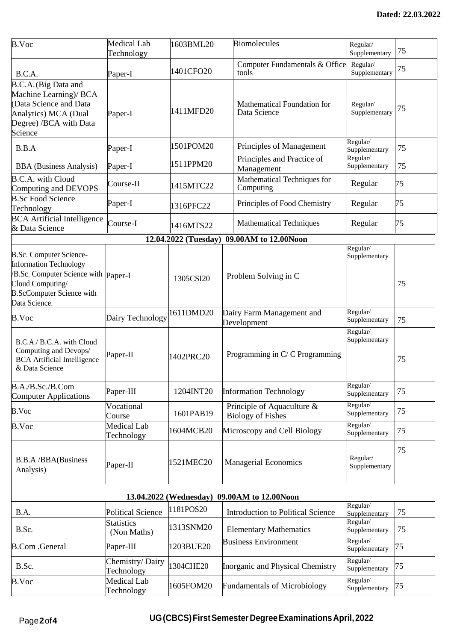| <b>B.Voc</b>                                                                                                                                                                    | <b>Medical Lab</b>               | 1603BML20            | <b>Biomolecules</b>                                       | Regular/                  |    |  |  |  |
|---------------------------------------------------------------------------------------------------------------------------------------------------------------------------------|----------------------------------|----------------------|-----------------------------------------------------------|---------------------------|----|--|--|--|
|                                                                                                                                                                                 | Technology                       |                      |                                                           | Supplementary             | 75 |  |  |  |
| B.C.A.                                                                                                                                                                          | Paper-I                          | 1401CFO20            | Computer Fundamentals & Office<br>tools                   | Regular/<br>Supplementary | 75 |  |  |  |
| B.C.A. (Big Data and<br>Machine Learning)/ BCA<br>(Data Science and Data<br>Analytics) MCA (Dual<br>Degree) /BCA with Data<br>Science                                           | Paper-I                          | 1411MFD20            | <b>Mathematical Foundation for</b><br>Data Science        | Regular/<br>Supplementary | 75 |  |  |  |
| B.B.A                                                                                                                                                                           | Paper-I                          | 1501POM20            | Principles of Management                                  | Regular/<br>Supplementary | 75 |  |  |  |
| <b>BBA</b> (Business Analysis)                                                                                                                                                  | Paper-I                          | 1511PPM20            | Principles and Practice of<br>Management                  | Regular/<br>Supplementary | 75 |  |  |  |
| <b>B.C.A.</b> with Cloud<br>Computing and DEVOPS                                                                                                                                | Course-II                        | 1415MTC22            | Mathematical Techniques for<br>Computing                  | Regular                   | 75 |  |  |  |
| <b>B.Sc Food Science</b><br>Technology                                                                                                                                          | Paper-I                          | 1316PFC22            | Principles of Food Chemistry                              | Regular                   | 75 |  |  |  |
| <b>BCA</b> Artificial Intelligence<br>& Data Science                                                                                                                            | Course-I                         | 1416MTS22            | <b>Mathematical Techniques</b>                            | Regular                   | 75 |  |  |  |
|                                                                                                                                                                                 |                                  | 12.04.2022 (Tuesday) | 09.00AM to 12.00Noon                                      |                           |    |  |  |  |
| <b>B.Sc. Computer Science-</b><br><b>Information Technology</b><br>B.Sc. Computer Science with Paper-I<br>Cloud Computing/<br><b>B.ScComputer Science with</b><br>Data Science. |                                  | 1305CSI20            | Problem Solving in C                                      | Regular/<br>Supplementary | 75 |  |  |  |
| B.Voc                                                                                                                                                                           | Dairy Technology                 | 1611DMD20            | Dairy Farm Management and<br>Development                  | Regular/<br>Supplementary | 75 |  |  |  |
| B.C.A./ B.C.A. with Cloud<br>Computing and Devops/<br><b>BCA</b> Artificial Intelligence<br>& Data Science                                                                      | Paper-II                         | 1402PRC20            | Programming in C/C Programming                            | Regular/<br>Supplementary | 75 |  |  |  |
| B.A./B.Sc./B.Com<br><b>Computer Applications</b>                                                                                                                                | Paper-III                        | 1204INT20            | <b>Information Technology</b>                             | Regular/<br>Supplementary | 75 |  |  |  |
| B.Voc                                                                                                                                                                           | Vocational<br>Course             | 1601PAB19            | Principle of Aquaculture $\&$<br><b>Biology of Fishes</b> | Regular/<br>Supplementary | 75 |  |  |  |
| <b>B.Voc</b>                                                                                                                                                                    | Medical Lab<br>Technology        | 1604MCB20            | Microscopy and Cell Biology                               | Regular/<br>Supplementary | 75 |  |  |  |
| <b>B.B.A/BBA(Business</b><br>Analysis)                                                                                                                                          | Paper-II                         | 1521MEC20            | <b>Managerial Economics</b>                               | Regular/<br>Supplementary | 75 |  |  |  |
| 13.04.2022 (Wednesday) 09.00AM to 12.00Noon                                                                                                                                     |                                  |                      |                                                           |                           |    |  |  |  |
| B.A.                                                                                                                                                                            | <b>Political Science</b>         | 1181POS20            | <b>Introduction to Political Science</b>                  | Regular/<br>Supplementary | 75 |  |  |  |
| B.Sc.                                                                                                                                                                           | <b>Statistics</b><br>(Non Maths) | 1313SNM20            | <b>Elementary Mathematics</b>                             | Regular/<br>Supplementary | 75 |  |  |  |
| <b>B.Com</b> .General                                                                                                                                                           | Paper-III                        | 1203BUE20            | <b>Business Environment</b>                               | Regular/<br>Supplementary | 75 |  |  |  |
| B.Sc.                                                                                                                                                                           | Chemistry/Dairy<br>Technology    | 1304CHE20            | Inorganic and Physical Chemistry                          | Regular/<br>Supplementary | 75 |  |  |  |
| <b>B.Voc</b>                                                                                                                                                                    | <b>Medical Lab</b><br>Technology | 1605FOM20            | <b>Fundamentals of Microbiology</b>                       | Regular/<br>Supplementary | 75 |  |  |  |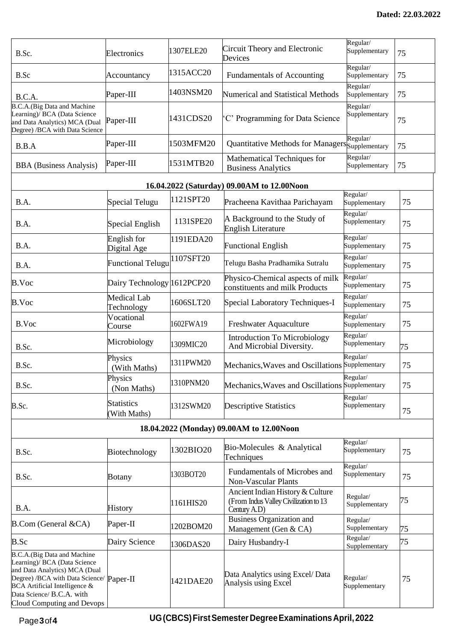| B.Sc.                                                                                                                                                                                                                                | Electronics                       | 1307ELE20 | Circuit Theory and Electronic<br>Devices                                                  | Regular/<br>Supplementary | 75 |  |  |  |
|--------------------------------------------------------------------------------------------------------------------------------------------------------------------------------------------------------------------------------------|-----------------------------------|-----------|-------------------------------------------------------------------------------------------|---------------------------|----|--|--|--|
| B.Sc                                                                                                                                                                                                                                 | Accountancy                       | 1315ACC20 | Fundamentals of Accounting                                                                | Regular/<br>Supplementary | 75 |  |  |  |
| B.C.A.                                                                                                                                                                                                                               | Paper-III                         | 1403NSM20 | Numerical and Statistical Methods                                                         | Regular/<br>Supplementary | 75 |  |  |  |
| B.C.A.(Big Data and Machine<br>Learning)/ BCA (Data Science<br>and Data Analytics) MCA (Dual<br>Degree) /BCA with Data Science                                                                                                       | Paper-III                         | 1431CDS20 | 'C' Programming for Data Science                                                          | Regular/<br>Supplementary | 75 |  |  |  |
| B.B.A                                                                                                                                                                                                                                | Paper-III                         | 1503MFM20 | Quantitative Methods for Managers Supplementary                                           | Regular/                  | 75 |  |  |  |
| <b>BBA</b> (Business Analysis)                                                                                                                                                                                                       | Paper-III                         | 1531MTB20 | Mathematical Techniques for<br><b>Business Analytics</b>                                  | Regular/<br>Supplementary | 75 |  |  |  |
| 16.04.2022 (Saturday) 09.00AM to 12.00Noon                                                                                                                                                                                           |                                   |           |                                                                                           |                           |    |  |  |  |
| B.A.                                                                                                                                                                                                                                 | Special Telugu                    | 1121SPT20 | Pracheena Kavithaa Parichayam                                                             | Regular/<br>Supplementary | 75 |  |  |  |
| B.A.                                                                                                                                                                                                                                 | Special English                   | 1131SPE20 | A Background to the Study of<br><b>English Literature</b>                                 | Regular/<br>Supplementary | 75 |  |  |  |
| B.A.                                                                                                                                                                                                                                 | English for<br>Digital Age        | 1191EDA20 | <b>Functional English</b>                                                                 | Regular/<br>Supplementary | 75 |  |  |  |
| B.A.                                                                                                                                                                                                                                 | <b>Functional Telugu</b>          | 1107SFT20 | Telugu Basha Pradhamika Sutralu                                                           | Regular/<br>Supplementary | 75 |  |  |  |
| B.Voc                                                                                                                                                                                                                                | Dairy Technology 1612PCP20        |           | Physico-Chemical aspects of milk<br>constituents and milk Products                        | Regular/<br>Supplementary | 75 |  |  |  |
| B.Voc                                                                                                                                                                                                                                | Medical Lab<br>Technology         | 1606SLT20 | Special Laboratory Techniques-I                                                           | Regular/<br>Supplementary | 75 |  |  |  |
| B.Voc                                                                                                                                                                                                                                | Vocational<br>Course              | 1602FWA19 | Freshwater Aquaculture                                                                    | Regular/<br>Supplementary | 75 |  |  |  |
| B.Sc.                                                                                                                                                                                                                                | Microbiology                      | 1309MIC20 | <b>Introduction To Microbiology</b><br>And Microbial Diversity.                           | Regular/<br>Supplementary | 75 |  |  |  |
| B.Sc.                                                                                                                                                                                                                                | Physics<br>(With Maths)           | 1311PWM20 | Mechanics, Waves and Oscillations                                                         | Regular/<br>Supplementary | 75 |  |  |  |
| B.Sc.                                                                                                                                                                                                                                | Physics<br>(Non Maths)            | 1310PNM20 | Mechanics, Waves and Oscillations Supplementary                                           | Regular/                  | 75 |  |  |  |
| B.Sc.                                                                                                                                                                                                                                | <b>Statistics</b><br>(With Maths) | 1312SWM20 | <b>Descriptive Statistics</b>                                                             | Regular/<br>Supplementary | 75 |  |  |  |
| 18.04.2022 (Monday) 09.00AM to 12.00Noon                                                                                                                                                                                             |                                   |           |                                                                                           |                           |    |  |  |  |
| B.Sc.                                                                                                                                                                                                                                | Biotechnology                     | 1302BIO20 | Bio-Molecules & Analytical<br>Techniques                                                  | Regular/<br>Supplementary | 75 |  |  |  |
| B.Sc.                                                                                                                                                                                                                                | <b>Botany</b>                     | 1303BOT20 | <b>Fundamentals of Microbes and</b><br>Non-Vascular Plants                                | Regular/<br>Supplementary | 75 |  |  |  |
| B.A.                                                                                                                                                                                                                                 | <b>History</b>                    | 1161HIS20 | Ancient Indian History & Culture<br>(From Indus Valley Civilization to 13<br>Century A.D) | Regular/<br>Supplementary | 75 |  |  |  |
| <b>B.Com</b> (General &CA)                                                                                                                                                                                                           | Paper-II                          | 1202BOM20 | <b>Business Organization and</b><br>Management (Gen & CA)                                 | Regular/<br>Supplementary | 75 |  |  |  |
| B.Sc                                                                                                                                                                                                                                 | Dairy Science                     | 1306DAS20 | Dairy Husbandry-I                                                                         | Regular/<br>Supplementary | 75 |  |  |  |
| B.C.A.(Big Data and Machine<br>Learning)/ BCA (Data Science<br>and Data Analytics) MCA (Dual<br>Degree) /BCA with Data Science/ Paper-II<br>BCA Artificial Intelligence &<br>Data Science/ B.C.A. with<br>Cloud Computing and Devops |                                   | 1421DAE20 | Data Analytics using Excel/ Data<br>Analysis using Excel                                  | Regular/<br>Supplementary | 75 |  |  |  |